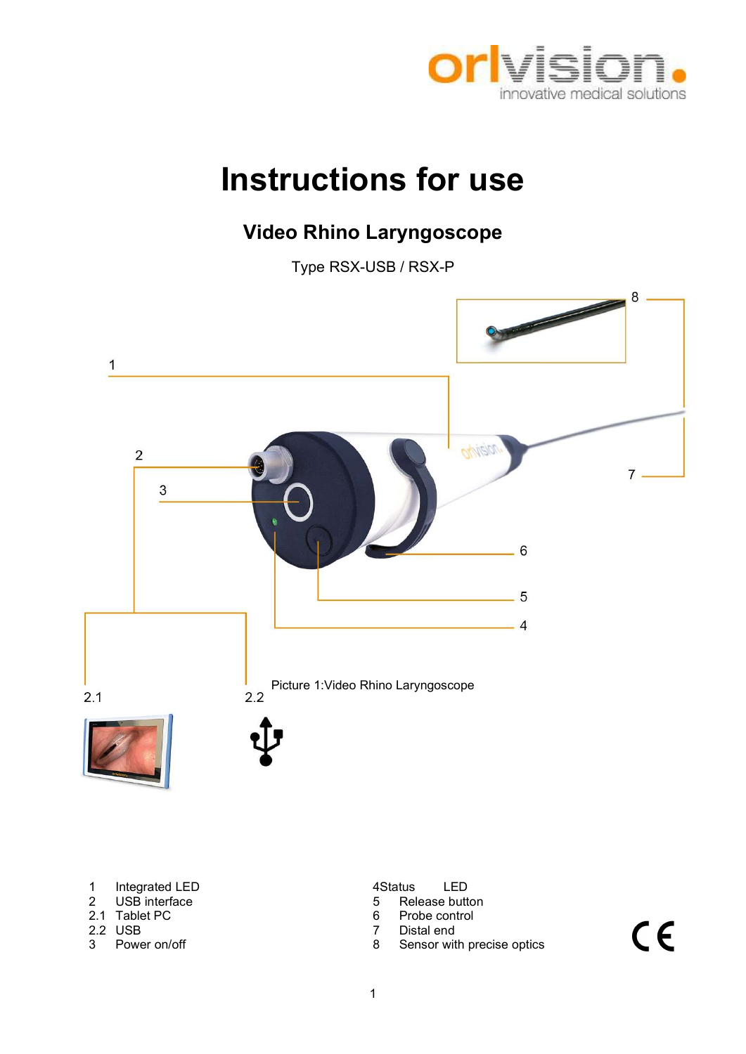

# Instructions for use

# Video Rhino Laryngoscope

Type RSX-USB / RSX-P



- 1 Integrated LED<br>
2 USB interface<br>
2 USB interface<br>
4Status LED<br>
5 Release butt
- 
- 2.1 Tablet PC 6<br>2.2 USB 7
- 
- 

- Release button<br>Probe control
- 
- USB 7 Distal end<br>
Power on/off 7 Distal end<br>
2.2 Sensor with 2.2 Sensor with 2.2 Sensor with 2.2 Sensor with 2.2 Sensor with 2.2 Sensor with 2.2 Sensor with 2.2 Sensor with 2.2 Sensor with 2.2 Sensor with 2.2 Sensor with 2
- 3 Power on/off **8 Sensor with precise optics**

 $C \in$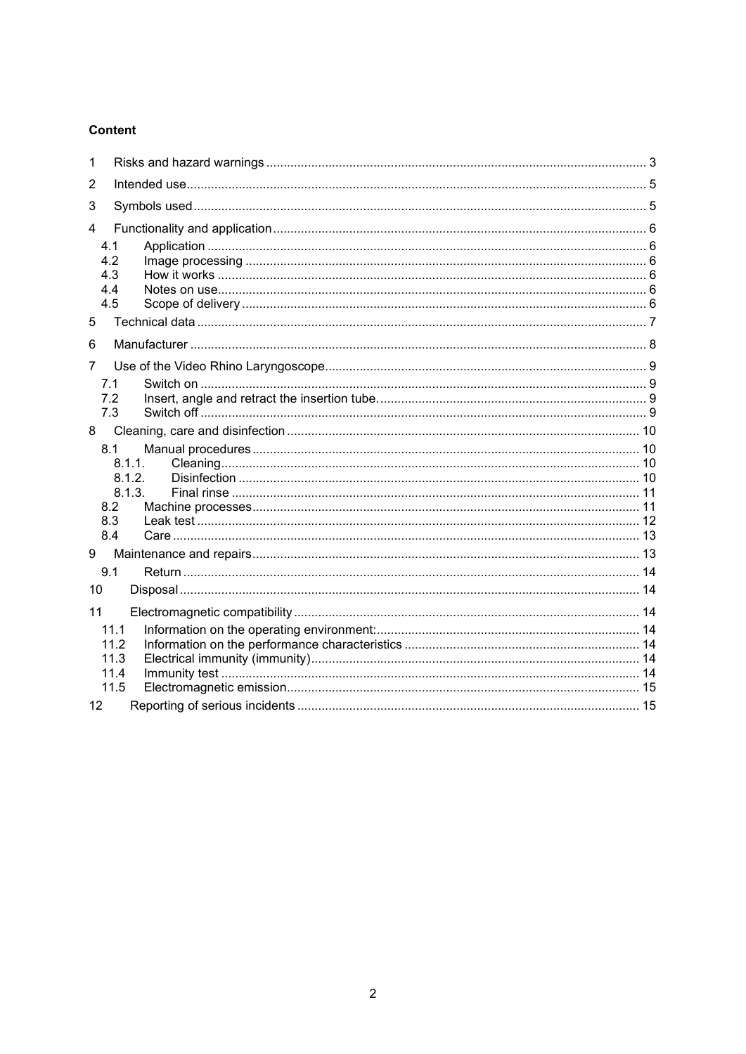### **Content**

| 1  |               |  |
|----|---------------|--|
| 2  |               |  |
| 3  |               |  |
| 4  |               |  |
|    | 4.1           |  |
|    | 4.2           |  |
|    | 4.3<br>4.4    |  |
|    | 4.5           |  |
| 5  |               |  |
| 6  |               |  |
| 7  |               |  |
|    | 7.1           |  |
|    | 7.2           |  |
|    | 7.3           |  |
| 8  |               |  |
|    | 8.1<br>8.1.1. |  |
|    | 8.1.2.        |  |
|    | 8.1.3.        |  |
|    | 8.2           |  |
|    | 8.3           |  |
|    | 8.4           |  |
| 9  |               |  |
|    | 9.1           |  |
| 10 |               |  |
| 11 |               |  |
|    | 11.1          |  |
|    | 11.2<br>11.3  |  |
|    | 11.4          |  |
|    | 11.5          |  |
| 12 |               |  |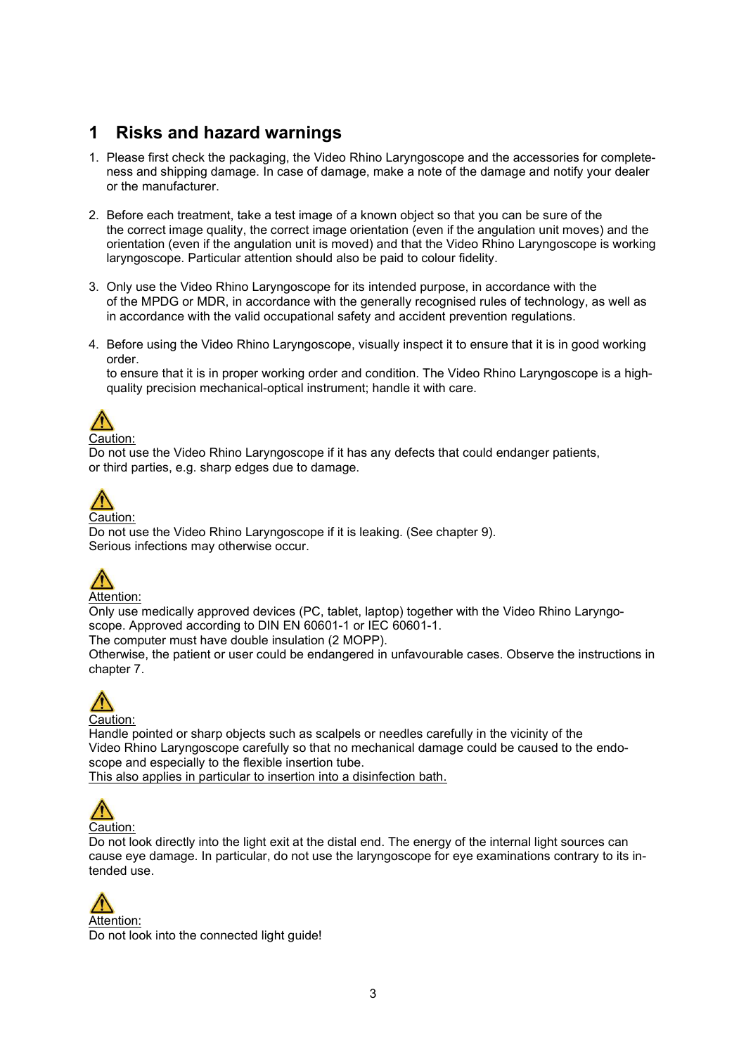### 1 Risks and hazard warnings

- 1. Please first check the packaging, the Video Rhino Laryngoscope and the accessories for completeness and shipping damage. In case of damage, make a note of the damage and notify your dealer or the manufacturer.
- 2. Before each treatment, take a test image of a known object so that you can be sure of the the correct image quality, the correct image orientation (even if the angulation unit moves) and the orientation (even if the angulation unit is moved) and that the Video Rhino Laryngoscope is working laryngoscope. Particular attention should also be paid to colour fidelity.
- 3. Only use the Video Rhino Laryngoscope for its intended purpose, in accordance with the of the MPDG or MDR, in accordance with the generally recognised rules of technology, as well as in accordance with the valid occupational safety and accident prevention regulations.
- 4. Before using the Video Rhino Laryngoscope, visually inspect it to ensure that it is in good working order.

to ensure that it is in proper working order and condition. The Video Rhino Laryngoscope is a highquality precision mechanical-optical instrument; handle it with care.



#### Caution:

Do not use the Video Rhino Laryngoscope if it has any defects that could endanger patients, or third parties, e.g. sharp edges due to damage.



### Caution:

Do not use the Video Rhino Laryngoscope if it is leaking. (See chapter 9). Serious infections may otherwise occur.



### Attention:

Only use medically approved devices (PC, tablet, laptop) together with the Video Rhino Laryngoscope. Approved according to DIN EN 60601-1 or IEC 60601-1.

The computer must have double insulation (2 MOPP).

Otherwise, the patient or user could be endangered in unfavourable cases. Observe the instructions in chapter 7.



Handle pointed or sharp objects such as scalpels or needles carefully in the vicinity of the Video Rhino Laryngoscope carefully so that no mechanical damage could be caused to the endoscope and especially to the flexible insertion tube. This also applies in particular to insertion into a disinfection bath.



Do not look directly into the light exit at the distal end. The energy of the internal light sources can cause eye damage. In particular, do not use the laryngoscope for eye examinations contrary to its intended use.

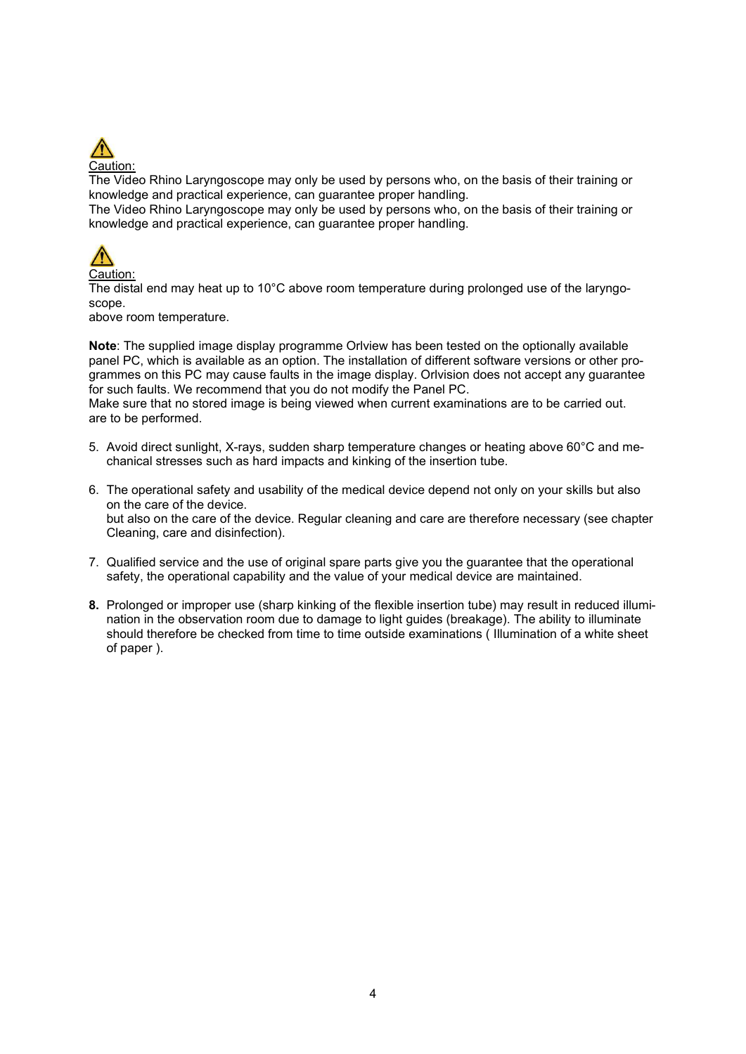

The Video Rhino Laryngoscope may only be used by persons who, on the basis of their training or knowledge and practical experience, can guarantee proper handling.

The Video Rhino Laryngoscope may only be used by persons who, on the basis of their training or knowledge and practical experience, can guarantee proper handling.



The distal end may heat up to 10°C above room temperature during prolonged use of the laryngoscope.

above room temperature.

Note: The supplied image display programme Orlview has been tested on the optionally available panel PC, which is available as an option. The installation of different software versions or other programmes on this PC may cause faults in the image display. Orlvision does not accept any guarantee for such faults. We recommend that you do not modify the Panel PC.

Make sure that no stored image is being viewed when current examinations are to be carried out. are to be performed.

- 5. Avoid direct sunlight, X-rays, sudden sharp temperature changes or heating above 60°C and mechanical stresses such as hard impacts and kinking of the insertion tube.
- 6. The operational safety and usability of the medical device depend not only on your skills but also on the care of the device. but also on the care of the device. Regular cleaning and care are therefore necessary (see chapter Cleaning, care and disinfection).
- 7. Qualified service and the use of original spare parts give you the guarantee that the operational safety, the operational capability and the value of your medical device are maintained.
- 8. Prolonged or improper use (sharp kinking of the flexible insertion tube) may result in reduced illumination in the observation room due to damage to light guides (breakage). The ability to illuminate should therefore be checked from time to time outside examinations ( Illumination of a white sheet of paper ).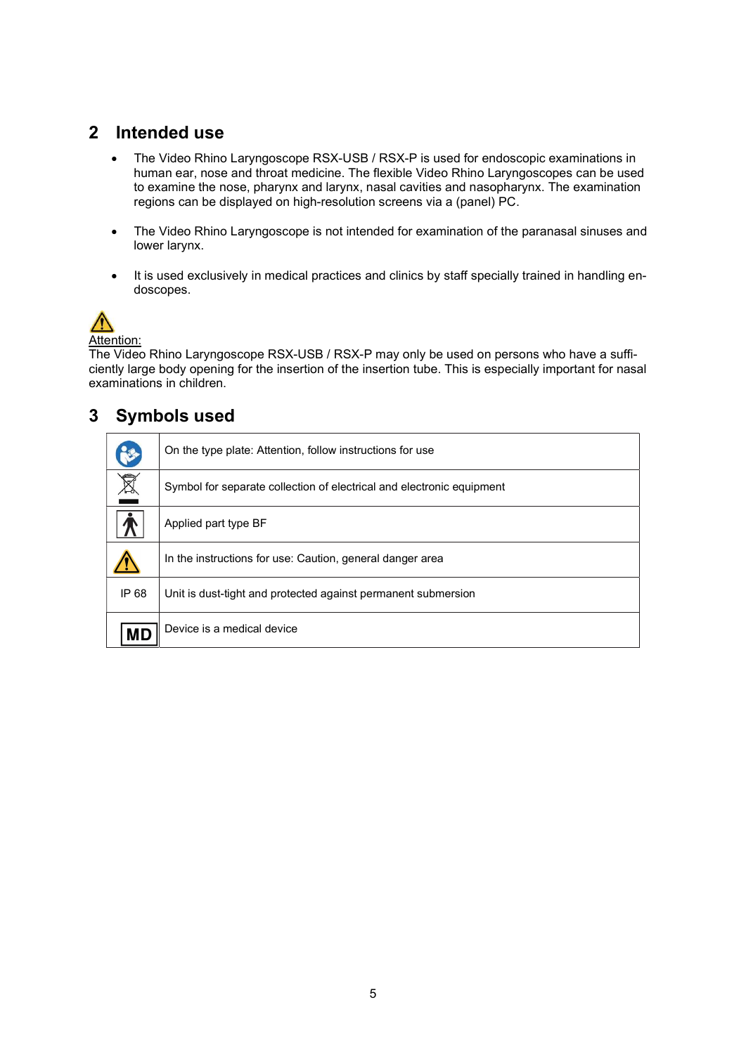### 2 Intended use

- The Video Rhino Laryngoscope RSX-USB / RSX-P is used for endoscopic examinations in human ear, nose and throat medicine. The flexible Video Rhino Laryngoscopes can be used to examine the nose, pharynx and larynx, nasal cavities and nasopharynx. The examination regions can be displayed on high-resolution screens via a (panel) PC.
- The Video Rhino Laryngoscope is not intended for examination of the paranasal sinuses and lower larynx.
- It is used exclusively in medical practices and clinics by staff specially trained in handling endoscopes.



Attention:

The Video Rhino Laryngoscope RSX-USB / RSX-P may only be used on persons who have a sufficiently large body opening for the insertion of the insertion tube. This is especially important for nasal examinations in children.

### 3 Symbols used

|       | On the type plate: Attention, follow instructions for use             |
|-------|-----------------------------------------------------------------------|
| X     | Symbol for separate collection of electrical and electronic equipment |
|       | Applied part type BF                                                  |
|       | In the instructions for use: Caution, general danger area             |
| IP 68 | Unit is dust-tight and protected against permanent submersion         |
| МD    | Device is a medical device                                            |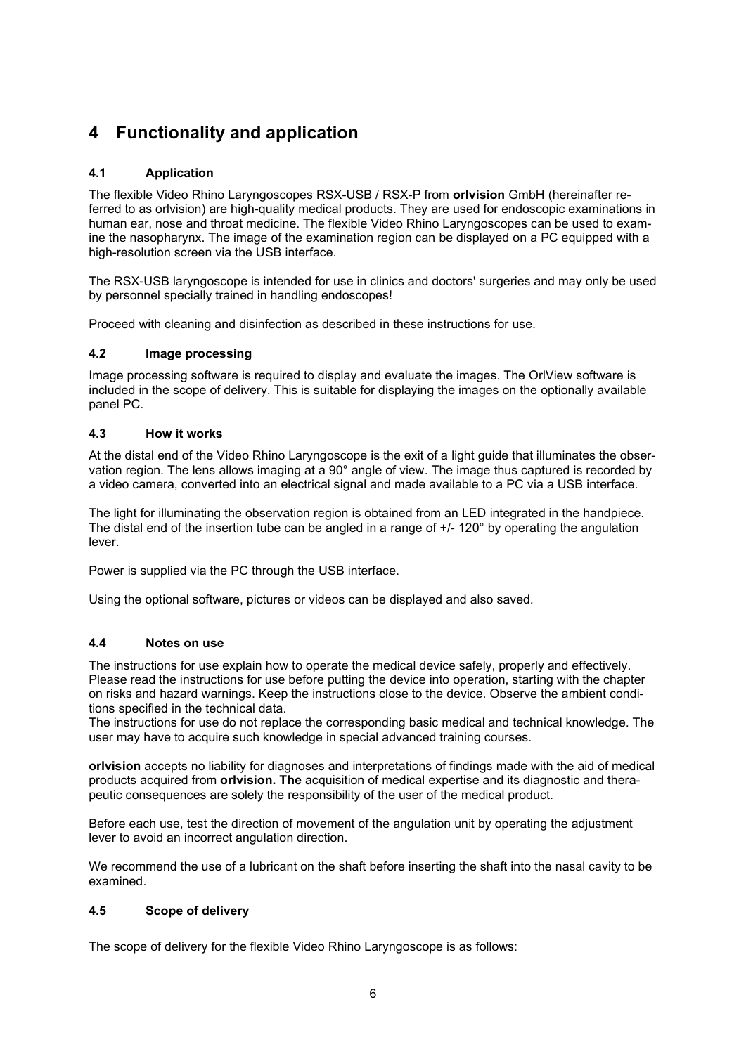### 4 Functionality and application

### 4.1 Application

The flexible Video Rhino Laryngoscopes RSX-USB / RSX-P from orlvision GmbH (hereinafter referred to as orlvision) are high-quality medical products. They are used for endoscopic examinations in human ear, nose and throat medicine. The flexible Video Rhino Laryngoscopes can be used to examine the nasopharynx. The image of the examination region can be displayed on a PC equipped with a high-resolution screen via the USB interface.

The RSX-USB laryngoscope is intended for use in clinics and doctors' surgeries and may only be used by personnel specially trained in handling endoscopes!

Proceed with cleaning and disinfection as described in these instructions for use.

### 4.2 Image processing

Image processing software is required to display and evaluate the images. The OrlView software is included in the scope of delivery. This is suitable for displaying the images on the optionally available panel PC.

### 4.3 How it works

At the distal end of the Video Rhino Laryngoscope is the exit of a light guide that illuminates the observation region. The lens allows imaging at a 90° angle of view. The image thus captured is recorded by a video camera, converted into an electrical signal and made available to a PC via a USB interface.

The light for illuminating the observation region is obtained from an LED integrated in the handpiece. The distal end of the insertion tube can be angled in a range of +/- 120° by operating the angulation lever.

Power is supplied via the PC through the USB interface.

Using the optional software, pictures or videos can be displayed and also saved.

### 4.4 Notes on use

The instructions for use explain how to operate the medical device safely, properly and effectively. Please read the instructions for use before putting the device into operation, starting with the chapter on risks and hazard warnings. Keep the instructions close to the device. Observe the ambient conditions specified in the technical data.

The instructions for use do not replace the corresponding basic medical and technical knowledge. The user may have to acquire such knowledge in special advanced training courses.

orlvision accepts no liability for diagnoses and interpretations of findings made with the aid of medical products acquired from orlvision. The acquisition of medical expertise and its diagnostic and therapeutic consequences are solely the responsibility of the user of the medical product.

Before each use, test the direction of movement of the angulation unit by operating the adjustment lever to avoid an incorrect angulation direction.

We recommend the use of a lubricant on the shaft before inserting the shaft into the nasal cavity to be examined.

### 4.5 Scope of delivery

The scope of delivery for the flexible Video Rhino Laryngoscope is as follows: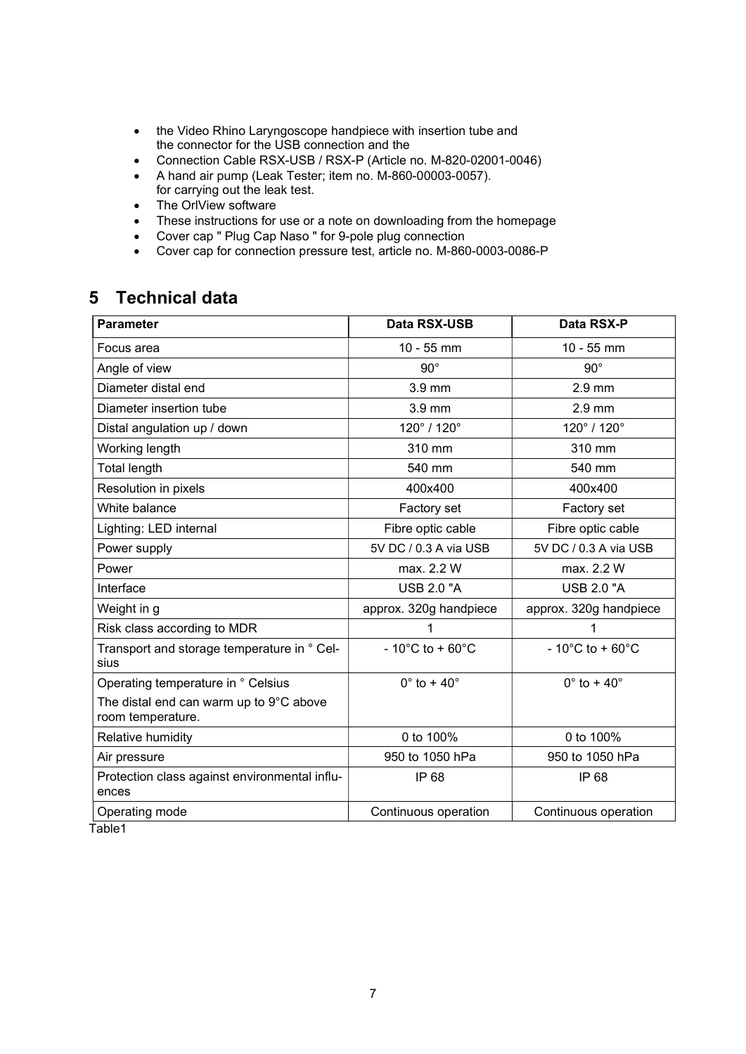- the Video Rhino Laryngoscope handpiece with insertion tube and the connector for the USB connection and the
- Connection Cable RSX-USB / RSX-P (Article no. M-820-02001-0046)
- A hand air pump (Leak Tester; item no. M-860-00003-0057). for carrying out the leak test.
- The OrlView software
- These instructions for use or a note on downloading from the homepage
- Cover cap " Plug Cap Naso " for 9-pole plug connection
- Cover cap for connection pressure test, article no. M-860-0003-0086-P

### 5 Technical data

| <b>Parameter</b>                                             | Data RSX-USB                         | Data RSX-P                             |
|--------------------------------------------------------------|--------------------------------------|----------------------------------------|
| Focus area                                                   | $10 - 55$ mm                         | $10 - 55$ mm                           |
| Angle of view                                                | $90^{\circ}$                         | $90^{\circ}$                           |
| Diameter distal end                                          | 3.9 mm                               | $2.9$ mm                               |
| Diameter insertion tube                                      | 3.9 mm                               | $2.9$ mm                               |
| Distal angulation up / down                                  | 120° / 120°                          | 120° / 120°                            |
| Working length                                               | 310 mm                               | 310 mm                                 |
| <b>Total length</b>                                          | 540 mm                               | 540 mm                                 |
| Resolution in pixels                                         | 400x400                              | 400x400                                |
| White balance                                                | Factory set                          | Factory set                            |
| Lighting: LED internal                                       | Fibre optic cable                    | Fibre optic cable                      |
| Power supply                                                 | 5V DC / 0.3 A via USB                | 5V DC / 0.3 A via USB                  |
| Power                                                        | max. 2.2 W                           | max. 2.2 W                             |
| Interface                                                    | <b>USB 2.0 "A</b>                    | <b>USB 2.0 "A</b>                      |
| Weight in g                                                  | approx. 320g handpiece               | approx. 320g handpiece                 |
| Risk class according to MDR                                  | 1                                    | 1                                      |
| Transport and storage temperature in ° Cel-<br>sius          | $-10^{\circ}$ C to + 60 $^{\circ}$ C | - 10 $^{\circ}$ C to + 60 $^{\circ}$ C |
| Operating temperature in ° Celsius                           | $0^\circ$ to + 40 $^\circ$           | $0^\circ$ to + 40 $^\circ$             |
| The distal end can warm up to 9°C above<br>room temperature. |                                      |                                        |
| Relative humidity                                            | 0 to 100%                            | 0 to 100%                              |
| Air pressure                                                 | 950 to 1050 hPa                      | 950 to 1050 hPa                        |
| Protection class against environmental influ-<br>ences       | IP 68                                | IP 68                                  |
| Operating mode<br><b>Little Artist</b>                       | Continuous operation                 | Continuous operation                   |

Table1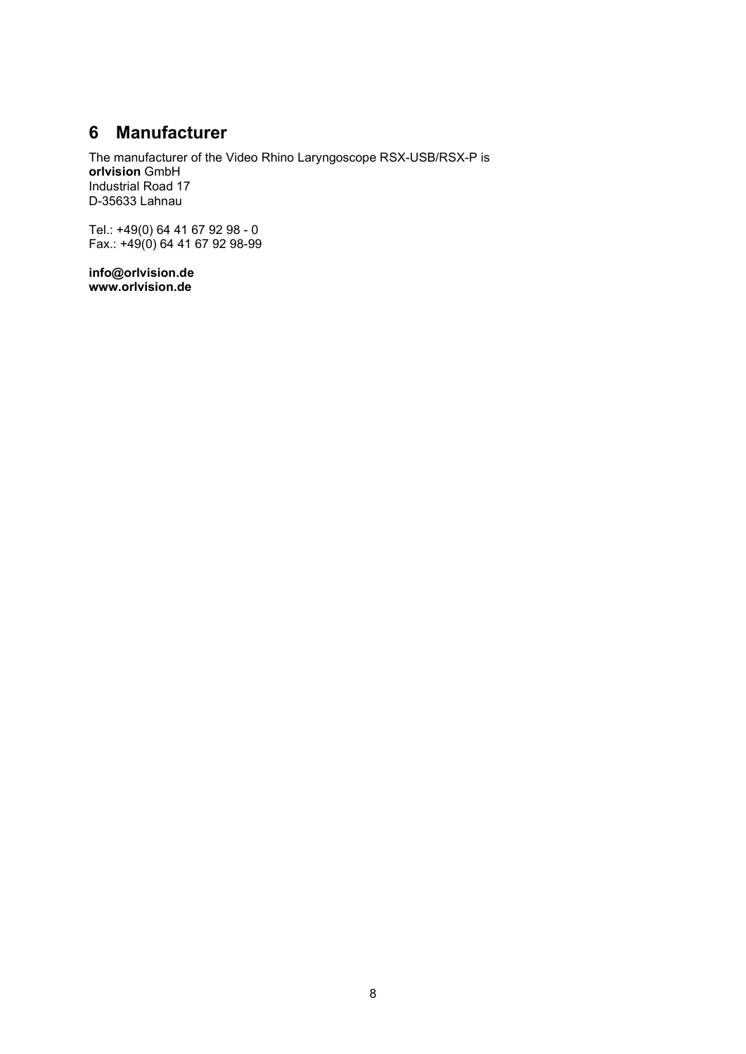### 6 Manufacturer

The manufacturer of the Video Rhino Laryngoscope RSX-USB/RSX-P is orlvision GmbH Industrial Road 17 D-35633 Lahnau

Tel.: +49(0) 64 41 67 92 98 - 0 Fax.: +49(0) 64 41 67 92 98-99

info@orlvision.de www.orlvision.de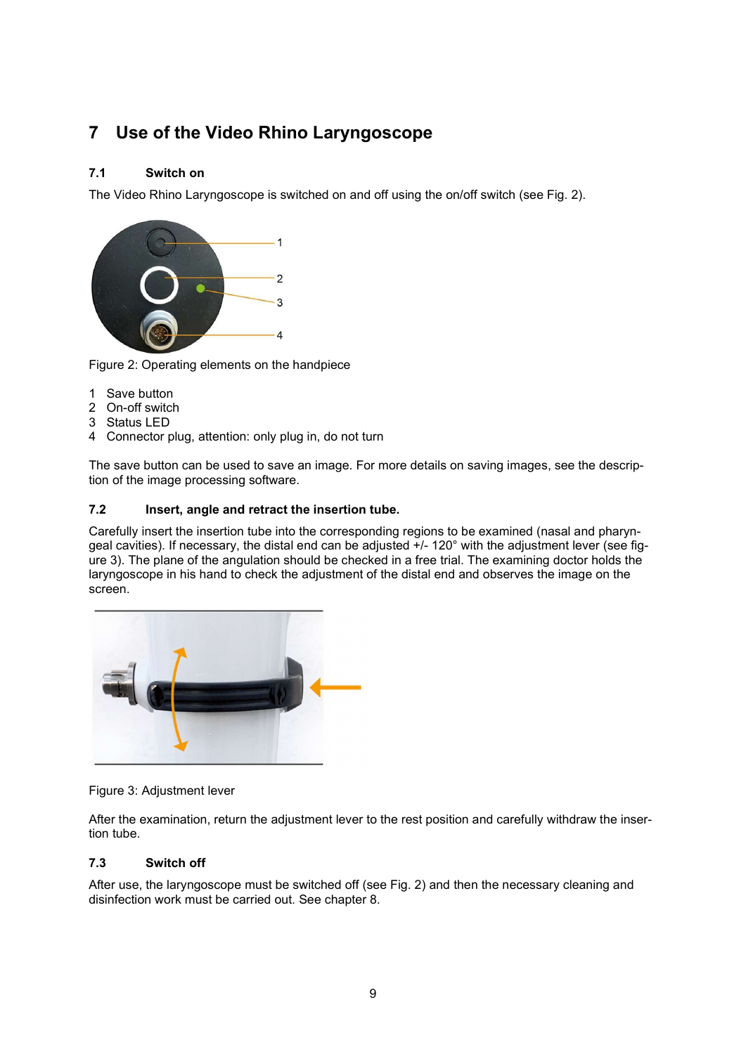### 7 Use of the Video Rhino Laryngoscope

### 7.1 Switch on

The Video Rhino Laryngoscope is switched on and off using the on/off switch (see Fig. 2).



Figure 2: Operating elements on the handpiece

- 1 Save button
- 2 On-off switch
- 3 Status LED
- 4 Connector plug, attention: only plug in, do not turn

The save button can be used to save an image. For more details on saving images, see the description of the image processing software.

### 7.2 Insert, angle and retract the insertion tube.

Carefully insert the insertion tube into the corresponding regions to be examined (nasal and pharyngeal cavities). If necessary, the distal end can be adjusted +/- 120° with the adjustment lever (see figure 3). The plane of the angulation should be checked in a free trial. The examining doctor holds the laryngoscope in his hand to check the adjustment of the distal end and observes the image on the screen.



Figure 3: Adjustment lever

After the examination, return the adjustment lever to the rest position and carefully withdraw the insertion tube.

### 7.3 Switch off

After use, the laryngoscope must be switched off (see Fig. 2) and then the necessary cleaning and disinfection work must be carried out. See chapter 8.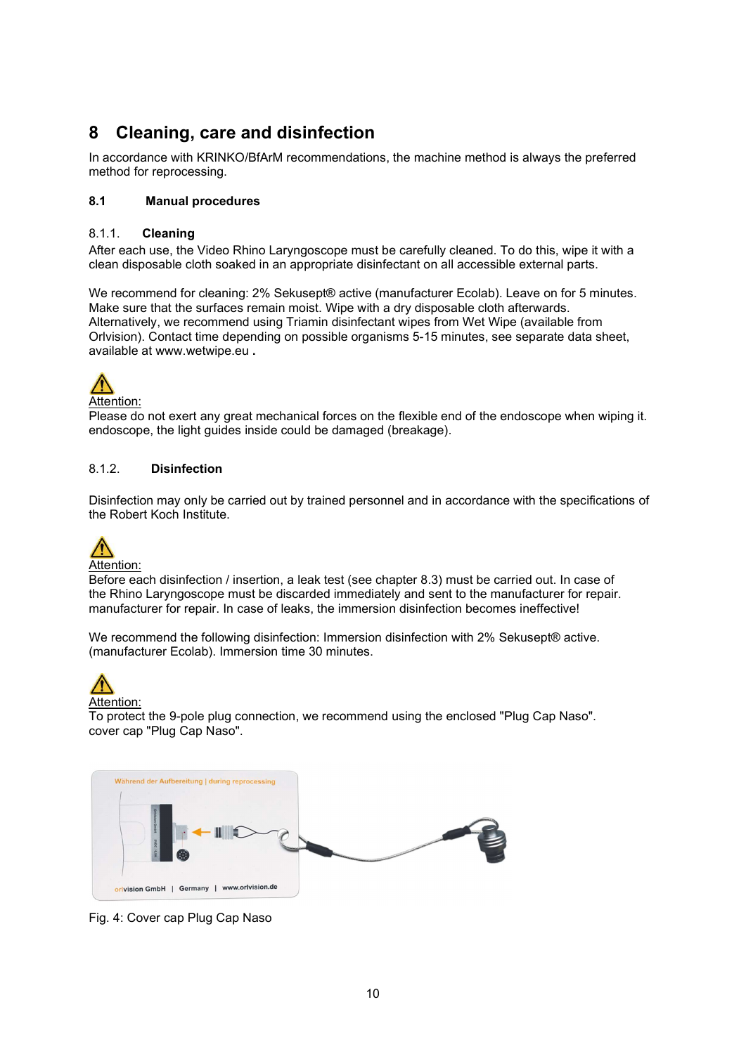### 8 Cleaning, care and disinfection

In accordance with KRINKO/BfArM recommendations, the machine method is always the preferred method for reprocessing.

### 8.1 Manual procedures

### 8.1.1. Cleaning

After each use, the Video Rhino Laryngoscope must be carefully cleaned. To do this, wipe it with a clean disposable cloth soaked in an appropriate disinfectant on all accessible external parts.

We recommend for cleaning: 2% Sekusept® active (manufacturer Ecolab). Leave on for 5 minutes. Make sure that the surfaces remain moist. Wipe with a dry disposable cloth afterwards. Alternatively, we recommend using Triamin disinfectant wipes from Wet Wipe (available from Orlvision). Contact time depending on possible organisms 5-15 minutes, see separate data sheet, available at www.wetwipe.eu .



Please do not exert any great mechanical forces on the flexible end of the endoscope when wiping it. endoscope, the light guides inside could be damaged (breakage).

### 8.1.2. Disinfection

Disinfection may only be carried out by trained personnel and in accordance with the specifications of the Robert Koch Institute.



Attention:

Before each disinfection / insertion, a leak test (see chapter 8.3) must be carried out. In case of the Rhino Laryngoscope must be discarded immediately and sent to the manufacturer for repair. manufacturer for repair. In case of leaks, the immersion disinfection becomes ineffective!

We recommend the following disinfection: Immersion disinfection with 2% Sekusept® active. (manufacturer Ecolab). Immersion time 30 minutes.



Attention:

To protect the 9-pole plug connection, we recommend using the enclosed "Plug Cap Naso". cover cap "Plug Cap Naso".



Fig. 4: Cover cap Plug Cap Naso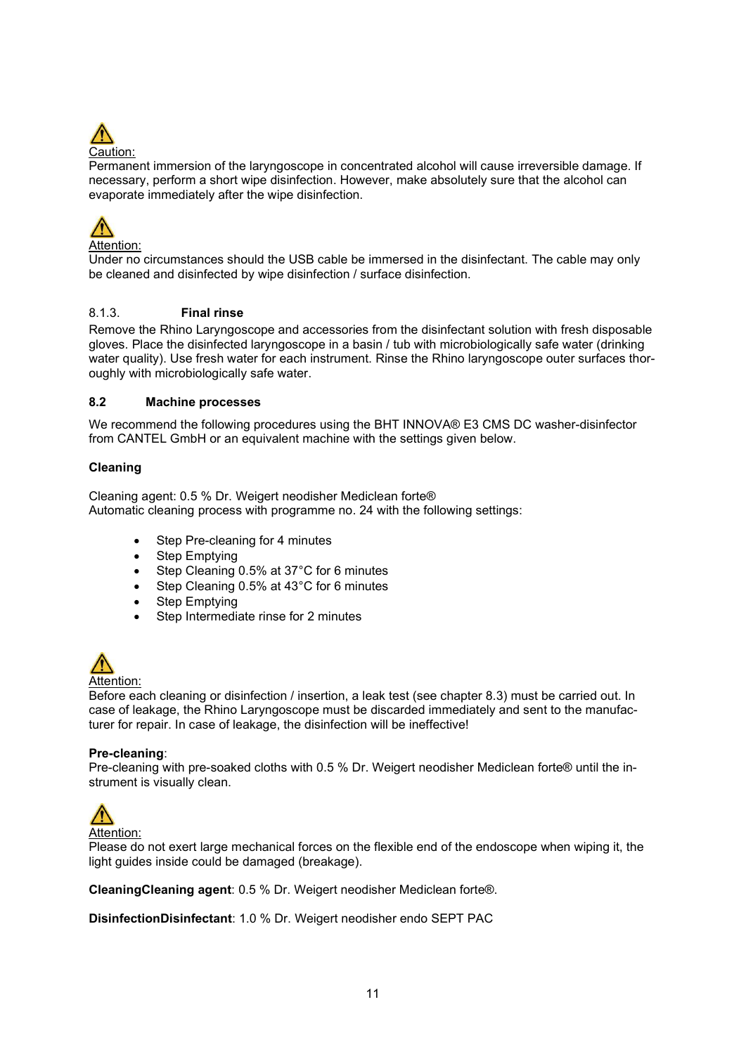

Permanent immersion of the laryngoscope in concentrated alcohol will cause irreversible damage. If necessary, perform a short wipe disinfection. However, make absolutely sure that the alcohol can evaporate immediately after the wipe disinfection.



Attention:

Under no circumstances should the USB cable be immersed in the disinfectant. The cable may only be cleaned and disinfected by wipe disinfection / surface disinfection.

### 8.1.3. Final rinse

Remove the Rhino Laryngoscope and accessories from the disinfectant solution with fresh disposable gloves. Place the disinfected laryngoscope in a basin / tub with microbiologically safe water (drinking water quality). Use fresh water for each instrument. Rinse the Rhino laryngoscope outer surfaces thoroughly with microbiologically safe water.

### 8.2 Machine processes

We recommend the following procedures using the BHT INNOVA® E3 CMS DC washer-disinfector from CANTEL GmbH or an equivalent machine with the settings given below.

### Cleaning

Cleaning agent: 0.5 % Dr. Weigert neodisher Mediclean forte® Automatic cleaning process with programme no. 24 with the following settings:

- Step Pre-cleaning for 4 minutes
- Step Emptying
- Step Cleaning 0.5% at 37°C for 6 minutes
- Step Cleaning 0.5% at 43°C for 6 minutes
- Step Emptying
- Step Intermediate rinse for 2 minutes



Attention:

Before each cleaning or disinfection / insertion, a leak test (see chapter 8.3) must be carried out. In case of leakage, the Rhino Laryngoscope must be discarded immediately and sent to the manufacturer for repair. In case of leakage, the disinfection will be ineffective!

#### Pre-cleaning:

Pre-cleaning with pre-soaked cloths with 0.5 % Dr. Weigert neodisher Mediclean forte® until the instrument is visually clean.



Attention:

Please do not exert large mechanical forces on the flexible end of the endoscope when wiping it, the light guides inside could be damaged (breakage).

CleaningCleaning agent: 0.5 % Dr. Weigert neodisher Mediclean forte®.

DisinfectionDisinfectant: 1.0 % Dr. Weigert neodisher endo SEPT PAC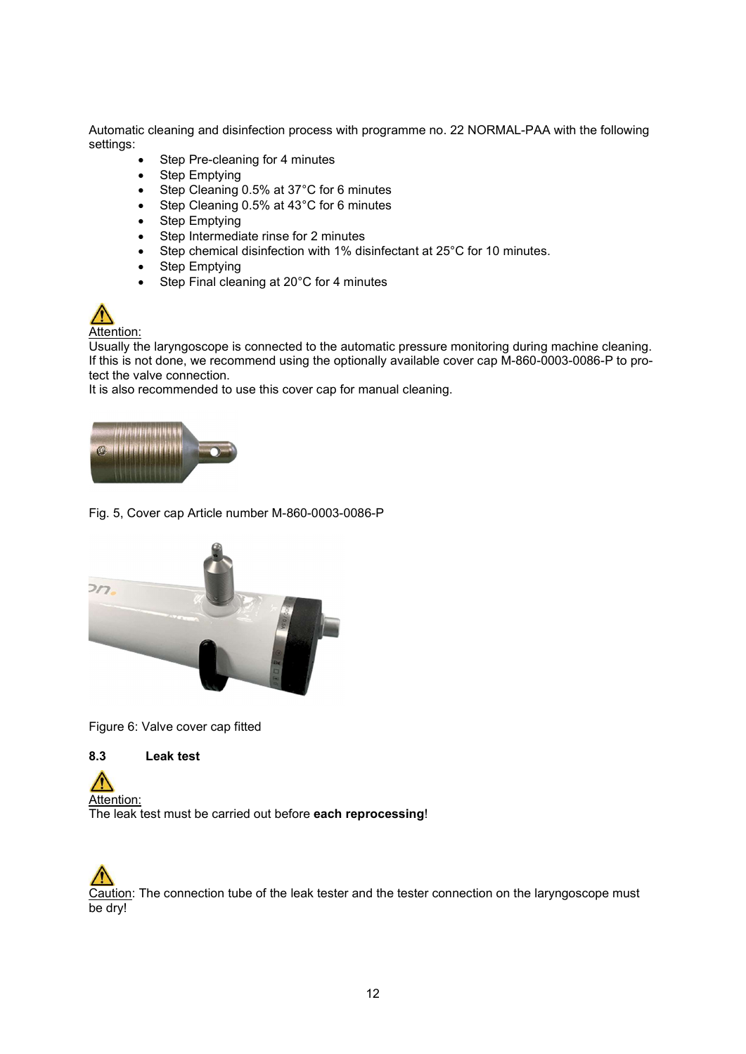Automatic cleaning and disinfection process with programme no. 22 NORMAL-PAA with the following settings:

- Step Pre-cleaning for 4 minutes
- Step Emptying
- Step Cleaning 0.5% at 37°C for 6 minutes
- Step Cleaning 0.5% at 43°C for 6 minutes
- Step Emptying
- Step Intermediate rinse for 2 minutes
- Step chemical disinfection with 1% disinfectant at 25°C for 10 minutes.
- Step Emptying
- Step Final cleaning at 20°C for 4 minutes



Usually the laryngoscope is connected to the automatic pressure monitoring during machine cleaning. If this is not done, we recommend using the optionally available cover cap M-860-0003-0086-P to protect the valve connection.

It is also recommended to use this cover cap for manual cleaning.



Fig. 5, Cover cap Article number M-860-0003-0086-P



Figure 6: Valve cover cap fitted

8.3 Leak test

Attention: The leak test must be carried out before each reprocessing!

Caution: The connection tube of the leak tester and the tester connection on the laryngoscope must be dry!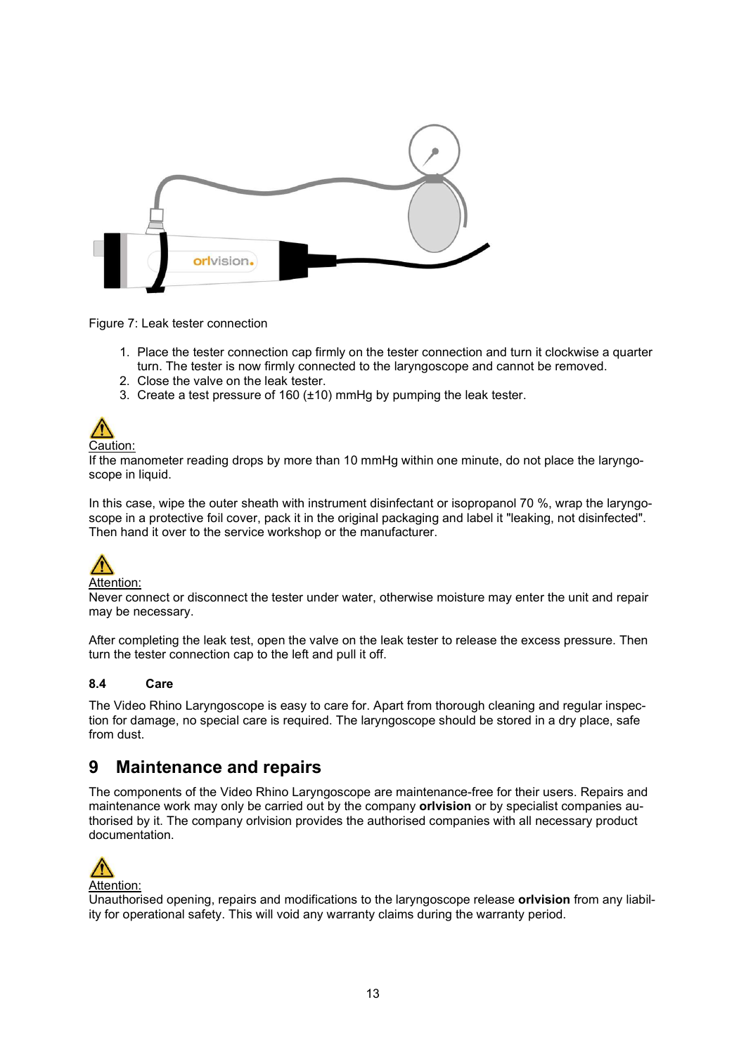

Figure 7: Leak tester connection

- 1. Place the tester connection cap firmly on the tester connection and turn it clockwise a quarter turn. The tester is now firmly connected to the laryngoscope and cannot be removed.
- 2. Close the valve on the leak tester.
- 3. Create a test pressure of 160 (±10) mmHg by pumping the leak tester.



If the manometer reading drops by more than 10 mmHg within one minute, do not place the laryngoscope in liquid.

In this case, wipe the outer sheath with instrument disinfectant or isopropanol 70 %, wrap the laryngoscope in a protective foil cover, pack it in the original packaging and label it "leaking, not disinfected". Then hand it over to the service workshop or the manufacturer.



Never connect or disconnect the tester under water, otherwise moisture may enter the unit and repair may be necessary.

After completing the leak test, open the valve on the leak tester to release the excess pressure. Then turn the tester connection cap to the left and pull it off.

#### 8.4 Care

The Video Rhino Laryngoscope is easy to care for. Apart from thorough cleaning and regular inspection for damage, no special care is required. The laryngoscope should be stored in a dry place, safe from dust.

### 9 Maintenance and repairs

The components of the Video Rhino Laryngoscope are maintenance-free for their users. Repairs and maintenance work may only be carried out by the company orlvision or by specialist companies authorised by it. The company orlvision provides the authorised companies with all necessary product documentation.



Unauthorised opening, repairs and modifications to the laryngoscope release **orlyision** from any liability for operational safety. This will void any warranty claims during the warranty period.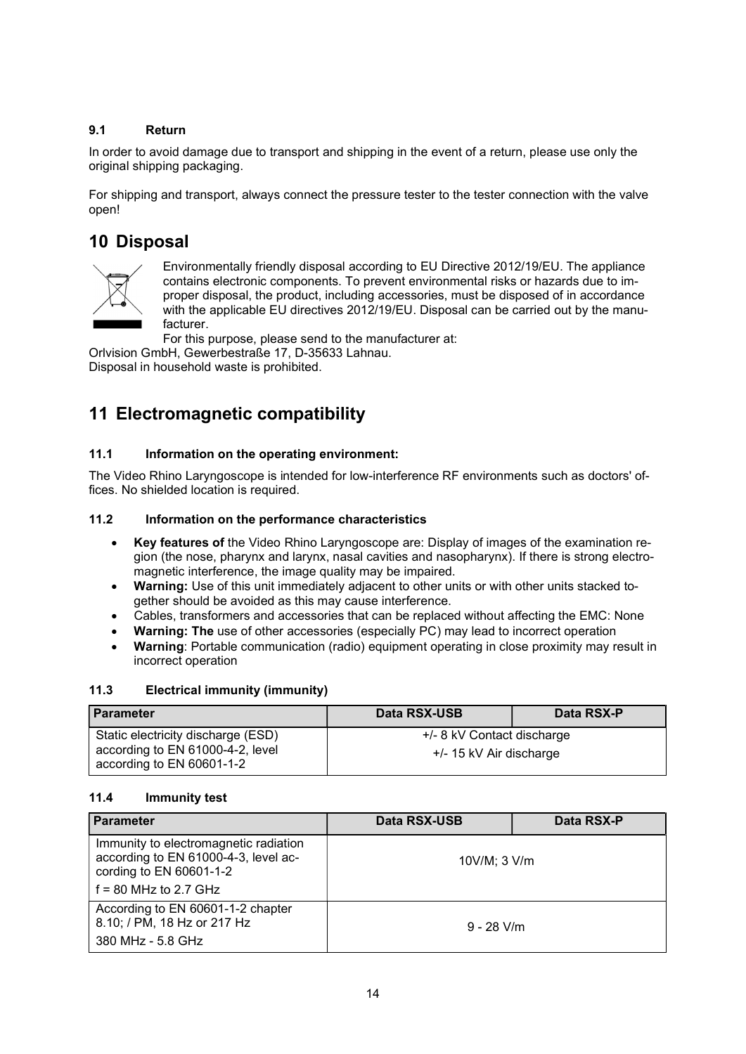### 9.1 Return

In order to avoid damage due to transport and shipping in the event of a return, please use only the original shipping packaging.

For shipping and transport, always connect the pressure tester to the tester connection with the valve open!

### 10 Disposal



Environmentally friendly disposal according to EU Directive 2012/19/EU. The appliance contains electronic components. To prevent environmental risks or hazards due to improper disposal, the product, including accessories, must be disposed of in accordance with the applicable EU directives 2012/19/EU. Disposal can be carried out by the manufacturer.

For this purpose, please send to the manufacturer at:

Orlvision GmbH, Gewerbestraße 17, D-35633 Lahnau. Disposal in household waste is prohibited.

### 11 Electromagnetic compatibility

### 11.1 Information on the operating environment:

The Video Rhino Laryngoscope is intended for low-interference RF environments such as doctors' offices. No shielded location is required.

### 11.2 Information on the performance characteristics

- Key features of the Video Rhino Laryngoscope are: Display of images of the examination region (the nose, pharynx and larynx, nasal cavities and nasopharynx). If there is strong electromagnetic interference, the image quality may be impaired.
- Warning: Use of this unit immediately adjacent to other units or with other units stacked together should be avoided as this may cause interference.
- Cables, transformers and accessories that can be replaced without affecting the EMC: None
- Warning: The use of other accessories (especially PC) may lead to incorrect operation
- Warning: Portable communication (radio) equipment operating in close proximity may result in incorrect operation

### 11.3 Electrical immunity (immunity)

| <b>Parameter</b>                                              | Data RSX-USB               | Data RSX-P |
|---------------------------------------------------------------|----------------------------|------------|
| Static electricity discharge (ESD)                            | +/- 8 kV Contact discharge |            |
| according to EN 61000-4-2, level<br>according to EN 60601-1-2 | +/- 15 kV Air discharge    |            |

### 11.4 Immunity test

| <b>Parameter</b>                                                                                                                    | Data RSX-USB      | Data RSX-P |
|-------------------------------------------------------------------------------------------------------------------------------------|-------------------|------------|
| Immunity to electromagnetic radiation<br>according to EN 61000-4-3, level ac-<br>cording to EN 60601-1-2<br>$f = 80$ MHz to 2.7 GHz | $10V/M$ ; $3 V/m$ |            |
| According to EN 60601-1-2 chapter<br>8.10; / PM, 18 Hz or 217 Hz<br>380 MHz - 5.8 GHz                                               | $9 - 28$ V/m      |            |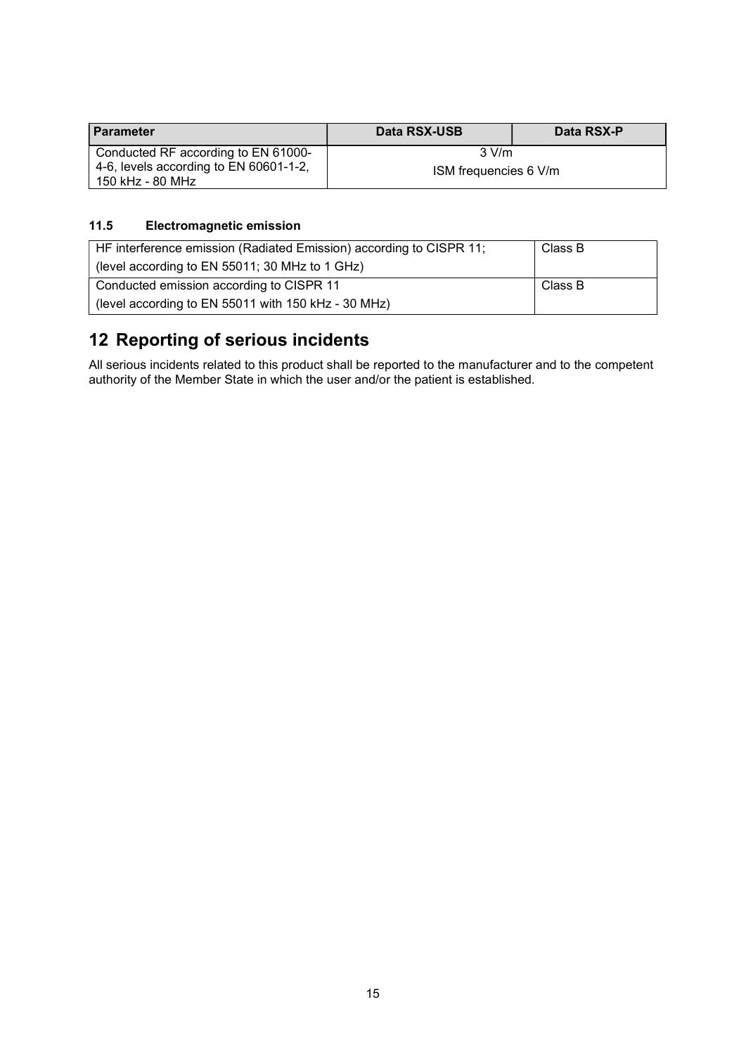| <b>Parameter</b>                                           | Data RSX-USB          | Data RSX-P |
|------------------------------------------------------------|-----------------------|------------|
| Conducted RF according to EN 61000-                        | $3$ V/m               |            |
| 4-6, levels according to EN 60601-1-2,<br>150 kHz - 80 MHz | ISM frequencies 6 V/m |            |

### 11.5 Electromagnetic emission

| HF interference emission (Radiated Emission) according to CISPR 11; | Class B |
|---------------------------------------------------------------------|---------|
| (level according to EN 55011; 30 MHz to 1 GHz)                      |         |
| Conducted emission according to CISPR 11                            | Class B |
| (level according to EN 55011 with 150 kHz - 30 MHz)                 |         |

## 12 Reporting of serious incidents

All serious incidents related to this product shall be reported to the manufacturer and to the competent authority of the Member State in which the user and/or the patient is established.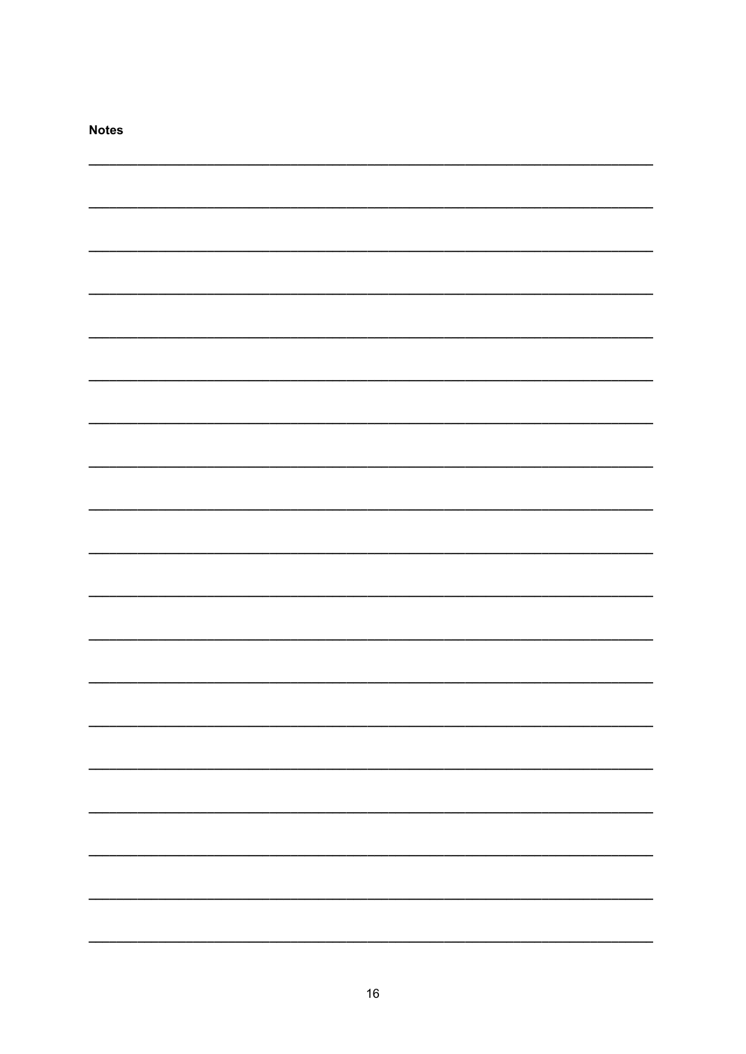| <b>Notes</b> |  |
|--------------|--|
|              |  |
|              |  |
|              |  |
|              |  |
|              |  |
|              |  |
|              |  |
|              |  |
|              |  |
|              |  |
|              |  |
|              |  |
|              |  |
|              |  |
|              |  |
|              |  |
|              |  |
|              |  |
|              |  |
|              |  |
|              |  |
|              |  |
|              |  |
|              |  |
|              |  |
|              |  |
|              |  |
|              |  |
|              |  |
|              |  |
|              |  |
|              |  |
|              |  |
|              |  |
|              |  |
|              |  |
|              |  |
|              |  |
|              |  |
|              |  |
|              |  |
|              |  |
|              |  |
|              |  |
|              |  |
|              |  |
|              |  |
|              |  |
|              |  |
|              |  |
|              |  |
|              |  |
|              |  |
|              |  |